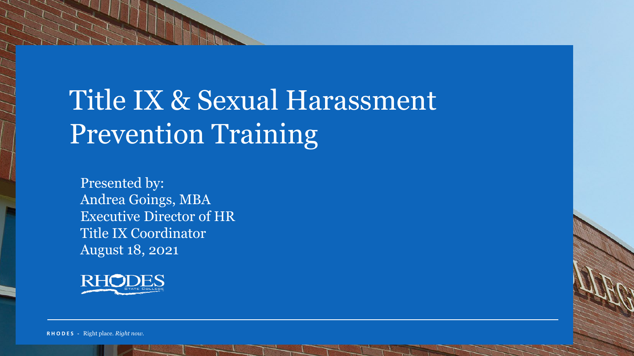## Title IX & Sexual Harassment Prevention Training

Presented by: Andrea Goings, MBA Executive Director of HR Title IX Coordinator August 18, 2021



**R H O D E S -** Right place*. Right now.*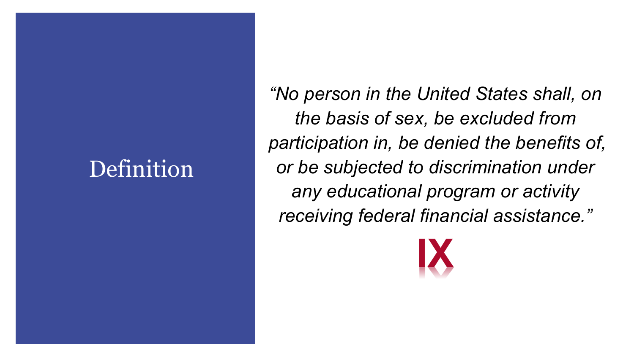### **Definition**

*"No person in the United States shall, on the basis of sex, be excluded from participation in, be denied the benefits of, or be subjected to discrimination under any educational program or activity receiving federal financial assistance."*

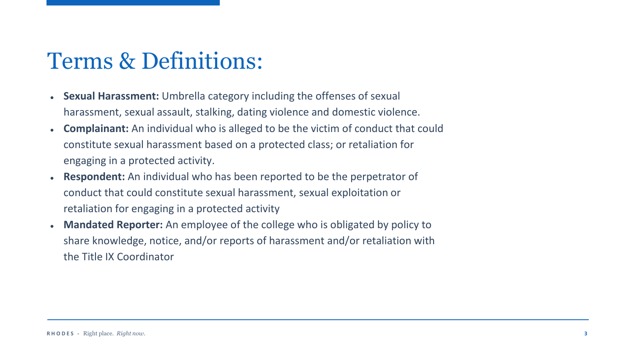### Terms & Definitions:

- **Sexual Harassment:** Umbrella category including the offenses of sexual harassment, sexual assault, stalking, dating violence and domestic violence.
- **Complainant:** An individual who is alleged to be the victim of conduct that could constitute sexual harassment based on a protected class; or retaliation for engaging in a protected activity.
- **Respondent:** An individual who has been reported to be the perpetrator of conduct that could constitute sexual harassment, sexual exploitation or retaliation for engaging in a protected activity
- Mandated Reporter: An employee of the college who is obligated by policy to share knowledge, notice, and/or reports of harassment and/or retaliation with the Title IX Coordinator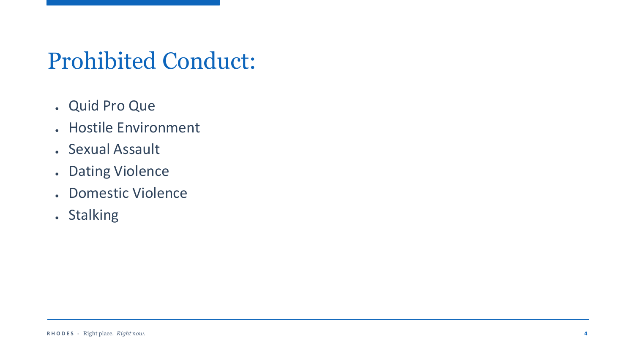### Prohibited Conduct:

- Quid Pro Que
- Hostile Environment
- Sexual Assault
- Dating Violence
- Domestic Violence
- . Stalking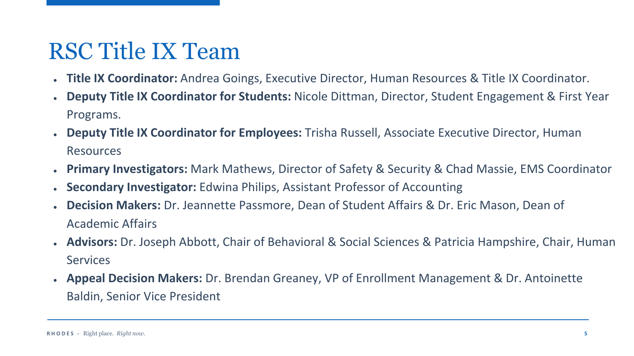### RSC Title IX Team

- **Title IX Coordinator:** Andrea Goings, Executive Director, Human Resources & Title IX Coordinator.
- **Deputy Title IX Coordinator for Students:** Nicole Dittman, Director, Student Engagement & First Year Programs.
- **Deputy Title IX Coordinator for Employees:** Trisha Russell, Associate Executive Director, Human Resources
- **Primary Investigators:** Mark Mathews, Director of Safety & Security & Chad Massie, EMS Coordinator
- **Secondary Investigator:** Edwina Philips, Assistant Professor of Accounting
- **Decision Makers:** Dr. Jeannette Passmore, Dean of Student Affairs & Dr. Eric Mason, Dean of Academic Affairs
- **Advisors:** Dr. Joseph Abbott, Chair of Behavioral & Social Sciences & Patricia Hampshire, Chair, Human **Services**
- **Appeal Decision Makers:** Dr. Brendan Greaney, VP of Enrollment Management & Dr. Antoinette Baldin, Senior Vice President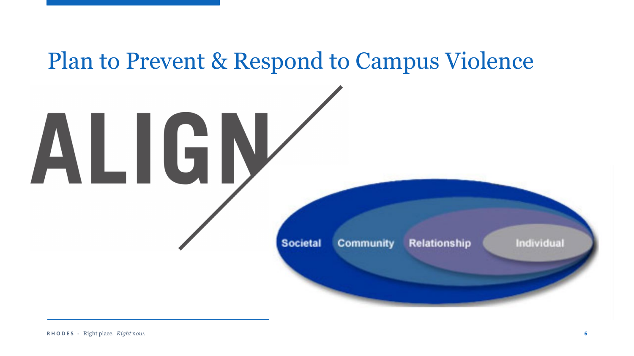# Plan to Prevent & Respond to Campus Violence ALIGN **Societal** Individual **Community Relationship**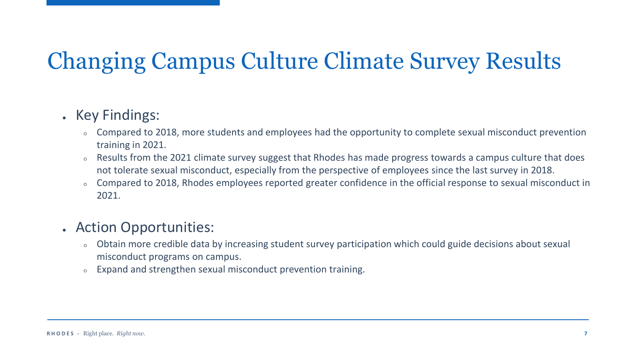### Changing Campus Culture Climate Survey Results

#### • Key Findings:

- Compared to 2018, more students and employees had the opportunity to complete sexual misconduct prevention training in 2021.
- Results from the 2021 climate survey suggest that Rhodes has made progress towards a campus culture that does not tolerate sexual misconduct, especially from the perspective of employees since the last survey in 2018.
- Compared to 2018, Rhodes employees reported greater confidence in the official response to sexual misconduct in 2021.

#### • Action Opportunities:

- Obtain more credible data by increasing student survey participation which could guide decisions about sexual misconduct programs on campus.
- Expand and strengthen sexual misconduct prevention training.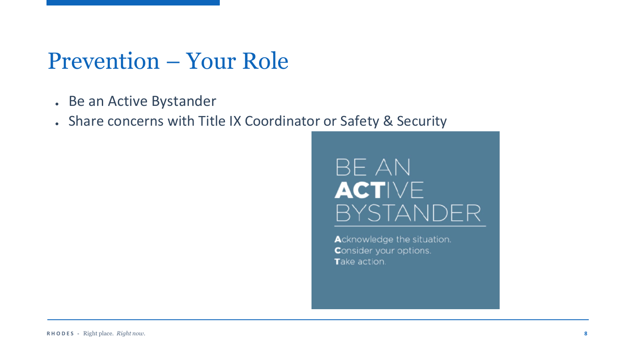#### Prevention – Your Role

- Be an Active Bystander
- Share concerns with Title IX Coordinator or Safety & Security

#### **BE AN ACTIVE BYSTANDER**

Acknowledge the situation. Consider your options. Take action.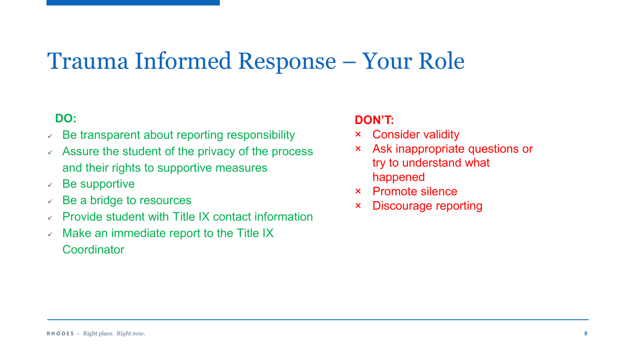### Trauma Informed Response – Your Role

#### **DO:**

- $\vee$  Be transparent about reporting responsibility
- $\lambda$  Assure the student of the privacy of the process and their rights to supportive measures
- $\vee$  Be supportive
- $\vee$  Be a bridge to resources
- $\vee$  Provide student with Title IX contact information
- $\vee$  Make an immediate report to the Title IX

**Coordinator** 

#### **DON'T:**

- × Consider validity
- × Ask inappropriate questions or try to understand what happened
- × Promote silence
- × Discourage reporting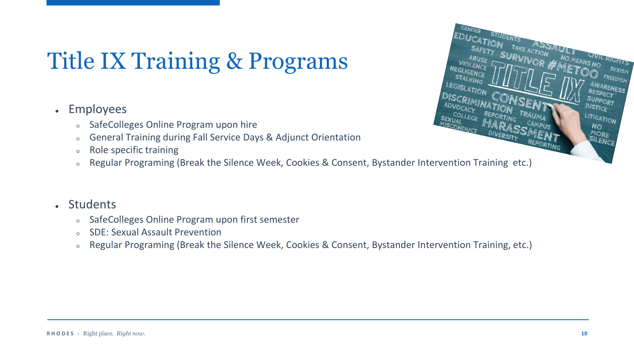### Title IX Training & Programs

#### • Employees

- SafeColleges Online Program upon hire
- General Training during Fall Service Days & Adjunct Orientation
- Role specific training
- Regular Programing (Break the Silence Week, Cookies & Consent, Bystander Intervention Training etc.)



- SafeColleges Online Program upon first semester
- SDE: Sexual Assault Prevention
- Regular Programing (Break the Silence Week, Cookies & Consent, Bystander Intervention Training, etc.)